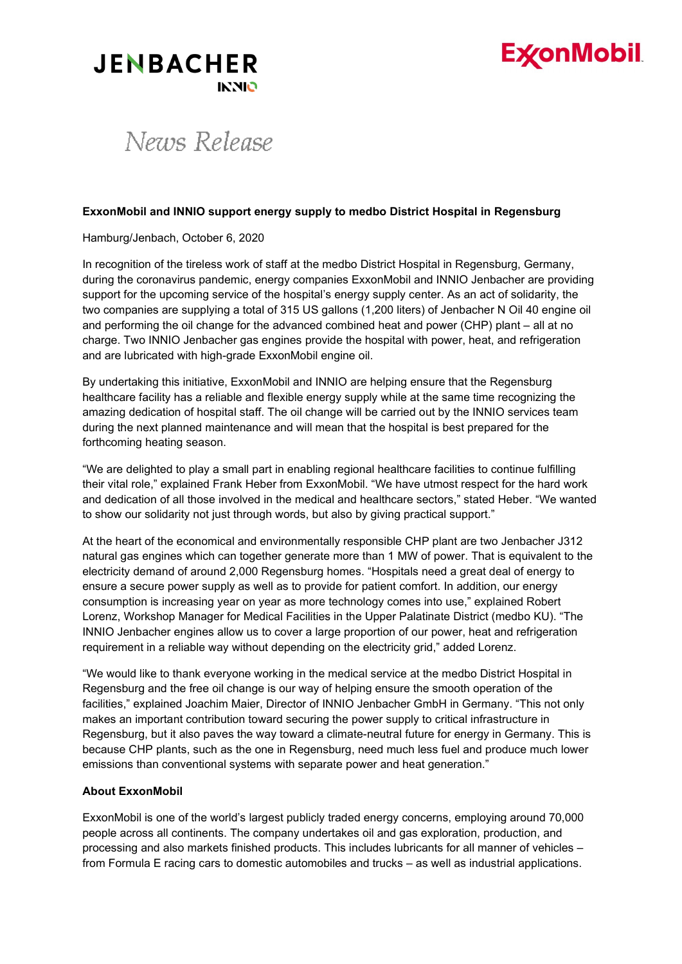# **ExconMobil**

### **JENBACHER INNIO**

## News Release

#### **ExxonMobil and INNIO support energy supply to medbo District Hospital in Regensburg**

Hamburg/Jenbach, October 6, 2020

In recognition of the tireless work of staff at the medbo District Hospital in Regensburg, Germany, during the coronavirus pandemic, energy companies ExxonMobil and INNIO Jenbacher are providing support for the upcoming service of the hospital's energy supply center. As an act of solidarity, the two companies are supplying a total of 315 US gallons (1,200 liters) of Jenbacher N Oil 40 engine oil and performing the oil change for the advanced combined heat and power (CHP) plant – all at no charge. Two INNIO Jenbacher gas engines provide the hospital with power, heat, and refrigeration and are lubricated with high-grade ExxonMobil engine oil.

By undertaking this initiative, ExxonMobil and INNIO are helping ensure that the Regensburg healthcare facility has a reliable and flexible energy supply while at the same time recognizing the amazing dedication of hospital staff. The oil change will be carried out by the INNIO services team during the next planned maintenance and will mean that the hospital is best prepared for the forthcoming heating season.

"We are delighted to play a small part in enabling regional healthcare facilities to continue fulfilling their vital role," explained Frank Heber from ExxonMobil. "We have utmost respect for the hard work and dedication of all those involved in the medical and healthcare sectors," stated Heber. "We wanted to show our solidarity not just through words, but also by giving practical support."

At the heart of the economical and environmentally responsible CHP plant are two Jenbacher J312 natural gas engines which can together generate more than 1 MW of power. That is equivalent to the electricity demand of around 2,000 Regensburg homes. "Hospitals need a great deal of energy to ensure a secure power supply as well as to provide for patient comfort. In addition, our energy consumption is increasing year on year as more technology comes into use," explained Robert Lorenz, Workshop Manager for Medical Facilities in the Upper Palatinate District (medbo KU). "The INNIO Jenbacher engines allow us to cover a large proportion of our power, heat and refrigeration requirement in a reliable way without depending on the electricity grid," added Lorenz.

"We would like to thank everyone working in the medical service at the medbo District Hospital in Regensburg and the free oil change is our way of helping ensure the smooth operation of the facilities," explained Joachim Maier, Director of INNIO Jenbacher GmbH in Germany. "This not only makes an important contribution toward securing the power supply to critical infrastructure in Regensburg, but it also paves the way toward a climate-neutral future for energy in Germany. This is because CHP plants, such as the one in Regensburg, need much less fuel and produce much lower emissions than conventional systems with separate power and heat generation."

#### **About ExxonMobil**

ExxonMobil is one of the world's largest publicly traded energy concerns, employing around 70,000 people across all continents. The company undertakes oil and gas exploration, production, and processing and also markets finished products. This includes lubricants for all manner of vehicles – from Formula E racing cars to domestic automobiles and trucks – as well as industrial applications.